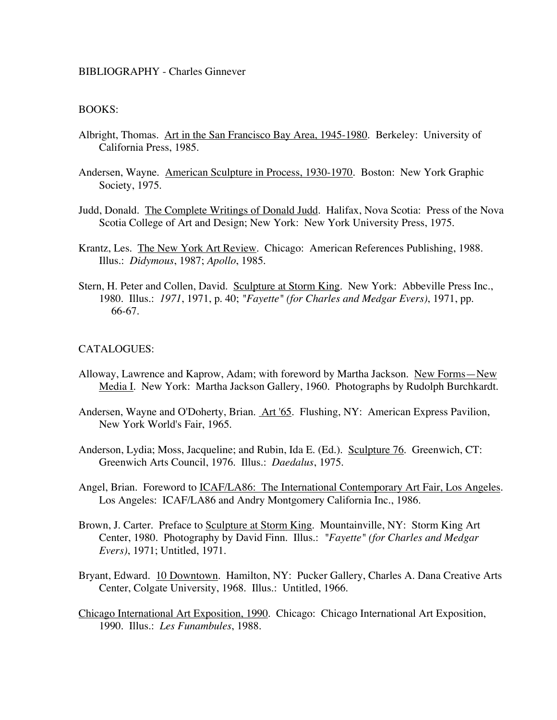## BIBLIOGRAPHY - Charles Ginnever

## BOOKS:

- Albright, Thomas. Art in the San Francisco Bay Area, 1945-1980. Berkeley: University of California Press, 1985.
- Andersen, Wayne. American Sculpture in Process, 1930-1970. Boston: New York Graphic Society, 1975.
- Judd, Donald. The Complete Writings of Donald Judd. Halifax, Nova Scotia: Press of the Nova Scotia College of Art and Design; New York: New York University Press, 1975.
- Krantz, Les. The New York Art Review. Chicago: American References Publishing, 1988. Illus.: *Didymous*, 1987; *Apollo*, 1985.
- Stern, H. Peter and Collen, David. Sculpture at Storm King. New York: Abbeville Press Inc., 1980. Illus.: *1971*, 1971, p. 40; *"Fayette" (for Charles and Medgar Evers)*, 1971, pp. 66-67.

## CATALOGUES:

- Alloway, Lawrence and Kaprow, Adam; with foreword by Martha Jackson. New Forms—New Media I. New York: Martha Jackson Gallery, 1960. Photographs by Rudolph Burchkardt.
- Andersen, Wayne and O'Doherty, Brian. Art '65. Flushing, NY: American Express Pavilion, New York World's Fair, 1965.
- Anderson, Lydia; Moss, Jacqueline; and Rubin, Ida E. (Ed.). Sculpture 76. Greenwich, CT: Greenwich Arts Council, 1976. Illus.: *Daedalus*, 1975.
- Angel, Brian. Foreword to **ICAF/LA86:** The International Contemporary Art Fair, Los Angeles. Los Angeles: ICAF/LA86 and Andry Montgomery California Inc., 1986.
- Brown, J. Carter. Preface to Sculpture at Storm King. Mountainville, NY: Storm King Art Center, 1980. Photography by David Finn. Illus.: *"Fayette" (for Charles and Medgar Evers)*, 1971; Untitled, 1971.
- Bryant, Edward. 10 Downtown. Hamilton, NY: Pucker Gallery, Charles A. Dana Creative Arts Center, Colgate University, 1968. Illus.: Untitled, 1966.
- Chicago International Art Exposition, 1990. Chicago: Chicago International Art Exposition, 1990. Illus.: *Les Funambules*, 1988.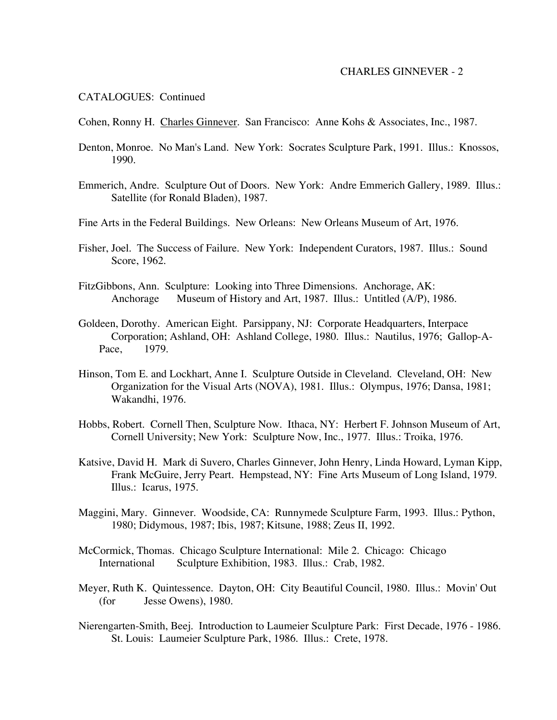#### CHARLES GINNEVER - 2

### CATALOGUES: Continued

- Cohen, Ronny H. Charles Ginnever. San Francisco: Anne Kohs & Associates, Inc., 1987.
- Denton, Monroe. No Man's Land. New York: Socrates Sculpture Park, 1991. Illus.: Knossos, 1990.
- Emmerich, Andre. Sculpture Out of Doors. New York: Andre Emmerich Gallery, 1989. Illus.: Satellite (for Ronald Bladen), 1987.
- Fine Arts in the Federal Buildings. New Orleans: New Orleans Museum of Art, 1976.
- Fisher, Joel. The Success of Failure. New York: Independent Curators, 1987. Illus.: Sound Score, 1962.
- FitzGibbons, Ann. Sculpture: Looking into Three Dimensions. Anchorage, AK: Anchorage Museum of History and Art, 1987. Illus.: Untitled (A/P), 1986.
- Goldeen, Dorothy. American Eight. Parsippany, NJ: Corporate Headquarters, Interpace Corporation; Ashland, OH: Ashland College, 1980. Illus.: Nautilus, 1976; Gallop-A-Pace, 1979.
- Hinson, Tom E. and Lockhart, Anne I. Sculpture Outside in Cleveland. Cleveland, OH: New Organization for the Visual Arts (NOVA), 1981. Illus.: Olympus, 1976; Dansa, 1981; Wakandhi, 1976.
- Hobbs, Robert. Cornell Then, Sculpture Now. Ithaca, NY: Herbert F. Johnson Museum of Art, Cornell University; New York: Sculpture Now, Inc., 1977. Illus.: Troika, 1976.
- Katsive, David H. Mark di Suvero, Charles Ginnever, John Henry, Linda Howard, Lyman Kipp, Frank McGuire, Jerry Peart. Hempstead, NY: Fine Arts Museum of Long Island, 1979. Illus.: Icarus, 1975.
- Maggini, Mary. Ginnever. Woodside, CA: Runnymede Sculpture Farm, 1993. Illus.: Python, 1980; Didymous, 1987; Ibis, 1987; Kitsune, 1988; Zeus II, 1992.
- McCormick, Thomas. Chicago Sculpture International: Mile 2. Chicago: Chicago International Sculpture Exhibition, 1983. Illus.: Crab, 1982.
- Meyer, Ruth K. Quintessence. Dayton, OH: City Beautiful Council, 1980. Illus.: Movin' Out (for Jesse Owens), 1980.
- Nierengarten-Smith, Beej. Introduction to Laumeier Sculpture Park: First Decade, 1976 1986. St. Louis: Laumeier Sculpture Park, 1986. Illus.: Crete, 1978.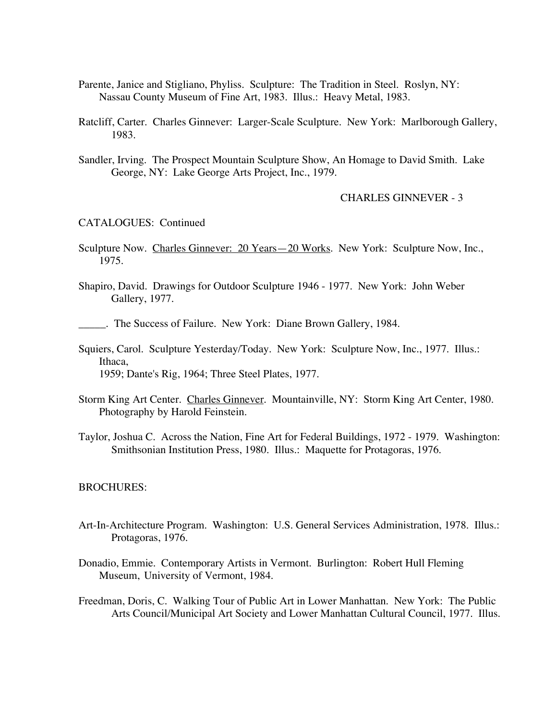- Parente, Janice and Stigliano, Phyliss. Sculpture: The Tradition in Steel. Roslyn, NY: Nassau County Museum of Fine Art, 1983. Illus.: Heavy Metal, 1983.
- Ratcliff, Carter. Charles Ginnever: Larger-Scale Sculpture. New York: Marlborough Gallery, 1983.
- Sandler, Irving. The Prospect Mountain Sculpture Show, An Homage to David Smith. Lake George, NY: Lake George Arts Project, Inc., 1979.

CHARLES GINNEVER - 3

## CATALOGUES: Continued

- Sculpture Now. Charles Ginnever: 20 Years 20 Works. New York: Sculpture Now, Inc., 1975.
- Shapiro, David. Drawings for Outdoor Sculpture 1946 1977. New York: John Weber Gallery, 1977.

\_\_\_\_\_. The Success of Failure. New York: Diane Brown Gallery, 1984.

- Squiers, Carol. Sculpture Yesterday/Today. New York: Sculpture Now, Inc., 1977. Illus.: Ithaca, 1959; Dante's Rig, 1964; Three Steel Plates, 1977.
- Storm King Art Center. Charles Ginnever. Mountainville, NY: Storm King Art Center, 1980. Photography by Harold Feinstein.
- Taylor, Joshua C. Across the Nation, Fine Art for Federal Buildings, 1972 1979. Washington: Smithsonian Institution Press, 1980. Illus.: Maquette for Protagoras, 1976.

#### BROCHURES:

- Art-In-Architecture Program. Washington: U.S. General Services Administration, 1978. Illus.: Protagoras, 1976.
- Donadio, Emmie. Contemporary Artists in Vermont. Burlington: Robert Hull Fleming Museum, University of Vermont, 1984.
- Freedman, Doris, C. Walking Tour of Public Art in Lower Manhattan. New York: The Public Arts Council/Municipal Art Society and Lower Manhattan Cultural Council, 1977. Illus.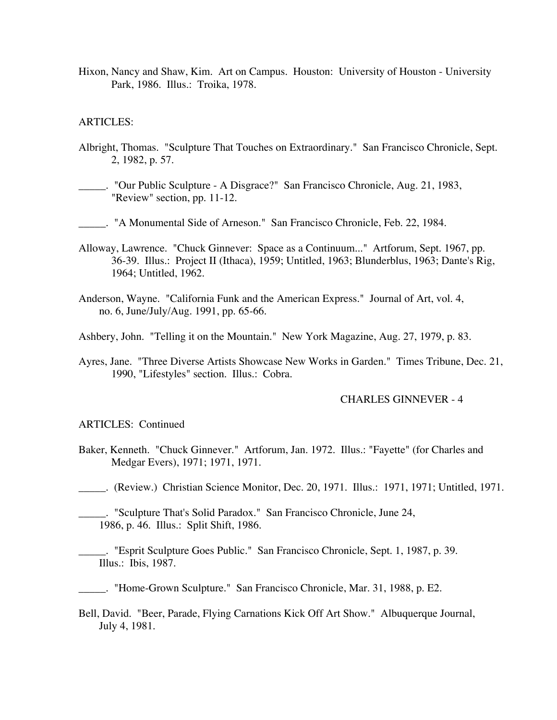Hixon, Nancy and Shaw, Kim. Art on Campus. Houston: University of Houston - University Park, 1986. Illus.: Troika, 1978.

### ARTICLES:

- Albright, Thomas. "Sculpture That Touches on Extraordinary." San Francisco Chronicle, Sept. 2, 1982, p. 57.
- \_\_\_\_\_. "Our Public Sculpture A Disgrace?" San Francisco Chronicle, Aug. 21, 1983, "Review" section, pp. 11-12.
- \_\_\_\_\_. "A Monumental Side of Arneson." San Francisco Chronicle, Feb. 22, 1984.
- Alloway, Lawrence. "Chuck Ginnever: Space as a Continuum..." Artforum, Sept. 1967, pp. 36-39. Illus.: Project II (Ithaca), 1959; Untitled, 1963; Blunderblus, 1963; Dante's Rig, 1964; Untitled, 1962.
- Anderson, Wayne. "California Funk and the American Express." Journal of Art, vol. 4, no. 6, June/July/Aug. 1991, pp. 65-66.
- Ashbery, John. "Telling it on the Mountain." New York Magazine, Aug. 27, 1979, p. 83.
- Ayres, Jane. "Three Diverse Artists Showcase New Works in Garden." Times Tribune, Dec. 21, 1990, "Lifestyles" section. Illus.: Cobra.

## CHARLES GINNEVER - 4

#### ARTICLES: Continued

Baker, Kenneth. "Chuck Ginnever." Artforum, Jan. 1972. Illus.: "Fayette" (for Charles and Medgar Evers), 1971; 1971, 1971.

\_\_\_\_\_. (Review.) Christian Science Monitor, Dec. 20, 1971. Illus.: 1971, 1971; Untitled, 1971.

\_\_\_\_\_. "Sculpture That's Solid Paradox." San Francisco Chronicle, June 24, 1986, p. 46. Illus.: Split Shift, 1986.

- \_\_\_\_\_. "Esprit Sculpture Goes Public." San Francisco Chronicle, Sept. 1, 1987, p. 39. Illus.: Ibis, 1987.
- \_\_\_\_\_. "Home-Grown Sculpture." San Francisco Chronicle, Mar. 31, 1988, p. E2.
- Bell, David. "Beer, Parade, Flying Carnations Kick Off Art Show." Albuquerque Journal, July 4, 1981.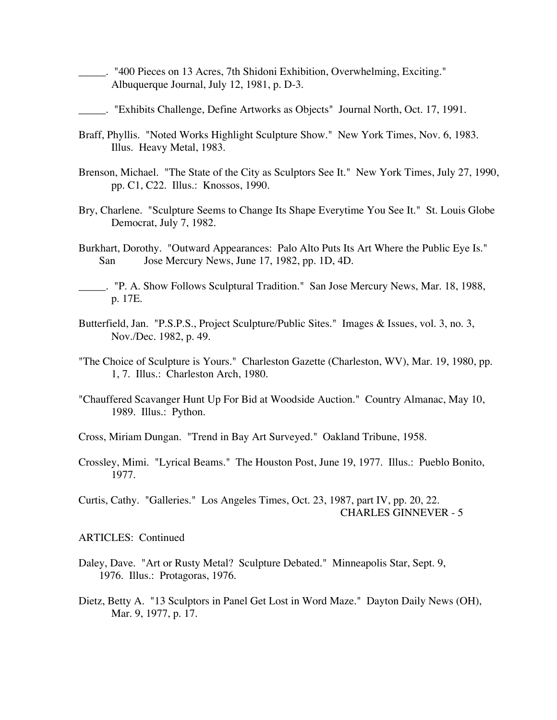- \_\_\_\_\_. "400 Pieces on 13 Acres, 7th Shidoni Exhibition, Overwhelming, Exciting." Albuquerque Journal, July 12, 1981, p. D-3.
- \_\_\_\_\_. "Exhibits Challenge, Define Artworks as Objects" Journal North, Oct. 17, 1991.
- Braff, Phyllis. "Noted Works Highlight Sculpture Show." New York Times, Nov. 6, 1983. Illus. Heavy Metal, 1983.
- Brenson, Michael. "The State of the City as Sculptors See It." New York Times, July 27, 1990, pp. C1, C22. Illus.: Knossos, 1990.
- Bry, Charlene. "Sculpture Seems to Change Its Shape Everytime You See It." St. Louis Globe Democrat, July 7, 1982.
- Burkhart, Dorothy. "Outward Appearances: Palo Alto Puts Its Art Where the Public Eye Is." San Jose Mercury News, June 17, 1982, pp. 1D, 4D.
- \_\_\_\_\_. "P. A. Show Follows Sculptural Tradition." San Jose Mercury News, Mar. 18, 1988, p. 17E.
- Butterfield, Jan. "P.S.P.S., Project Sculpture/Public Sites." Images & Issues, vol. 3, no. 3, Nov./Dec. 1982, p. 49.
- "The Choice of Sculpture is Yours." Charleston Gazette (Charleston, WV), Mar. 19, 1980, pp. 1, 7. Illus.: Charleston Arch, 1980.
- "Chauffered Scavanger Hunt Up For Bid at Woodside Auction." Country Almanac, May 10, 1989. Illus.: Python.
- Cross, Miriam Dungan. "Trend in Bay Art Surveyed." Oakland Tribune, 1958.
- Crossley, Mimi. "Lyrical Beams." The Houston Post, June 19, 1977. Illus.: Pueblo Bonito, 1977.

Curtis, Cathy. "Galleries." Los Angeles Times, Oct. 23, 1987, part IV, pp. 20, 22. CHARLES GINNEVER - 5

### ARTICLES: Continued

- Daley, Dave. "Art or Rusty Metal? Sculpture Debated." Minneapolis Star, Sept. 9, 1976. Illus.: Protagoras, 1976.
- Dietz, Betty A. "13 Sculptors in Panel Get Lost in Word Maze." Dayton Daily News (OH), Mar. 9, 1977, p. 17.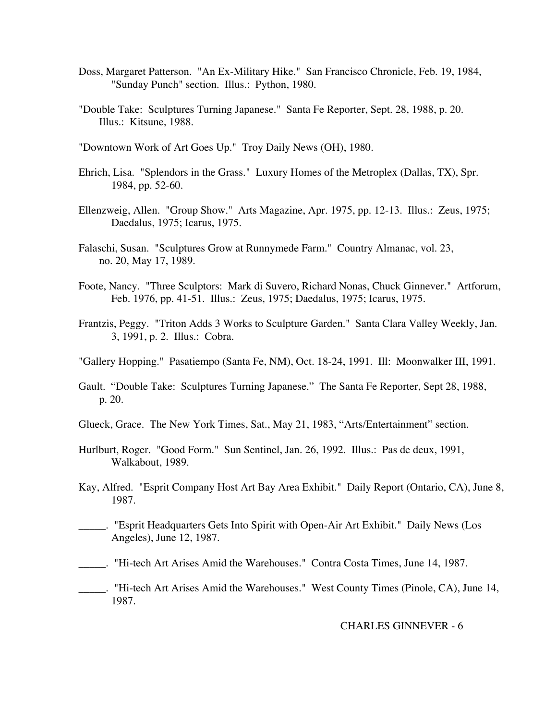- Doss, Margaret Patterson. "An Ex-Military Hike." San Francisco Chronicle, Feb. 19, 1984, "Sunday Punch" section. Illus.: Python, 1980.
- "Double Take: Sculptures Turning Japanese." Santa Fe Reporter, Sept. 28, 1988, p. 20. Illus.: Kitsune, 1988.
- "Downtown Work of Art Goes Up." Troy Daily News (OH), 1980.
- Ehrich, Lisa. "Splendors in the Grass." Luxury Homes of the Metroplex (Dallas, TX), Spr. 1984, pp. 52-60.
- Ellenzweig, Allen. "Group Show." Arts Magazine, Apr. 1975, pp. 12-13. Illus.: Zeus, 1975; Daedalus, 1975; Icarus, 1975.
- Falaschi, Susan. "Sculptures Grow at Runnymede Farm." Country Almanac, vol. 23, no. 20, May 17, 1989.
- Foote, Nancy. "Three Sculptors: Mark di Suvero, Richard Nonas, Chuck Ginnever." Artforum, Feb. 1976, pp. 41-51. Illus.: Zeus, 1975; Daedalus, 1975; Icarus, 1975.
- Frantzis, Peggy. "Triton Adds 3 Works to Sculpture Garden." Santa Clara Valley Weekly, Jan. 3, 1991, p. 2. Illus.: Cobra.
- "Gallery Hopping." Pasatiempo (Santa Fe, NM), Oct. 18-24, 1991. Ill: Moonwalker III, 1991.
- Gault. "Double Take: Sculptures Turning Japanese." The Santa Fe Reporter, Sept 28, 1988, p. 20.
- Glueck, Grace. The New York Times, Sat., May 21, 1983, "Arts/Entertainment" section.
- Hurlburt, Roger. "Good Form." Sun Sentinel, Jan. 26, 1992. Illus.: Pas de deux, 1991, Walkabout, 1989.
- Kay, Alfred. "Esprit Company Host Art Bay Area Exhibit." Daily Report (Ontario, CA), June 8, 1987.
- \_\_\_\_\_. "Esprit Headquarters Gets Into Spirit with Open-Air Art Exhibit." Daily News (Los Angeles), June 12, 1987.
- \_\_\_\_\_. "Hi-tech Art Arises Amid the Warehouses." Contra Costa Times, June 14, 1987.

\_\_\_\_\_. "Hi-tech Art Arises Amid the Warehouses." West County Times (Pinole, CA), June 14, 1987.

#### CHARLES GINNEVER - 6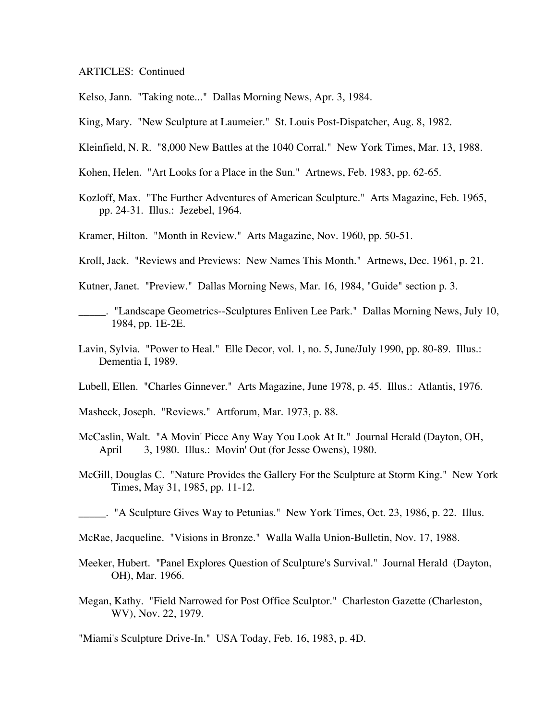# ARTICLES: Continued

Kelso, Jann. "Taking note..." Dallas Morning News, Apr. 3, 1984.

- King, Mary. "New Sculpture at Laumeier." St. Louis Post-Dispatcher, Aug. 8, 1982.
- Kleinfield, N. R. "8,000 New Battles at the 1040 Corral." New York Times, Mar. 13, 1988.
- Kohen, Helen. "Art Looks for a Place in the Sun." Artnews, Feb. 1983, pp. 62-65.
- Kozloff, Max. "The Further Adventures of American Sculpture." Arts Magazine, Feb. 1965, pp. 24-31. Illus.: Jezebel, 1964.
- Kramer, Hilton. "Month in Review." Arts Magazine, Nov. 1960, pp. 50-51.
- Kroll, Jack. "Reviews and Previews: New Names This Month." Artnews, Dec. 1961, p. 21.
- Kutner, Janet. "Preview." Dallas Morning News, Mar. 16, 1984, "Guide" section p. 3.
- \_\_\_\_\_. "Landscape Geometrics--Sculptures Enliven Lee Park." Dallas Morning News, July 10, 1984, pp. 1E-2E.
- Lavin, Sylvia. "Power to Heal." Elle Decor, vol. 1, no. 5, June/July 1990, pp. 80-89. Illus.: Dementia I, 1989.
- Lubell, Ellen. "Charles Ginnever." Arts Magazine, June 1978, p. 45. Illus.: Atlantis, 1976.
- Masheck, Joseph. "Reviews." Artforum, Mar. 1973, p. 88.
- McCaslin, Walt. "A Movin' Piece Any Way You Look At It." Journal Herald (Dayton, OH, April 3, 1980. Illus.: Movin' Out (for Jesse Owens), 1980.
- McGill, Douglas C. "Nature Provides the Gallery For the Sculpture at Storm King." New York Times, May 31, 1985, pp. 11-12.
- \_\_\_\_\_. "A Sculpture Gives Way to Petunias." New York Times, Oct. 23, 1986, p. 22. Illus.
- McRae, Jacqueline. "Visions in Bronze." Walla Walla Union-Bulletin, Nov. 17, 1988.
- Meeker, Hubert. "Panel Explores Question of Sculpture's Survival." Journal Herald (Dayton, OH), Mar. 1966.
- Megan, Kathy. "Field Narrowed for Post Office Sculptor." Charleston Gazette (Charleston, WV), Nov. 22, 1979.
- "Miami's Sculpture Drive-In." USA Today, Feb. 16, 1983, p. 4D.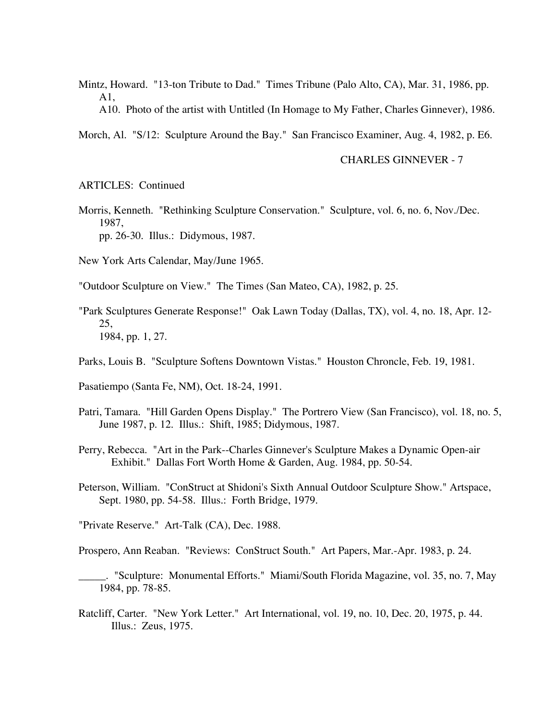- Mintz, Howard. "13-ton Tribute to Dad." Times Tribune (Palo Alto, CA), Mar. 31, 1986, pp. A1, A10. Photo of the artist with Untitled (In Homage to My Father, Charles Ginnever), 1986.
- Morch, Al. "S/12: Sculpture Around the Bay." San Francisco Examiner, Aug. 4, 1982, p. E6.

## CHARLES GINNEVER - 7

ARTICLES: Continued

Morris, Kenneth. "Rethinking Sculpture Conservation." Sculpture, vol. 6, no. 6, Nov./Dec. 1987, pp. 26-30. Illus.: Didymous, 1987.

New York Arts Calendar, May/June 1965.

- "Outdoor Sculpture on View." The Times (San Mateo, CA), 1982, p. 25.
- "Park Sculptures Generate Response!" Oak Lawn Today (Dallas, TX), vol. 4, no. 18, Apr. 12- 25, 1984, pp. 1, 27.
- Parks, Louis B. "Sculpture Softens Downtown Vistas." Houston Chroncle, Feb. 19, 1981.

Pasatiempo (Santa Fe, NM), Oct. 18-24, 1991.

- Patri, Tamara. "Hill Garden Opens Display." The Portrero View (San Francisco), vol. 18, no. 5, June 1987, p. 12. Illus.: Shift, 1985; Didymous, 1987.
- Perry, Rebecca. "Art in the Park--Charles Ginnever's Sculpture Makes a Dynamic Open-air Exhibit." Dallas Fort Worth Home & Garden, Aug. 1984, pp. 50-54.
- Peterson, William. "ConStruct at Shidoni's Sixth Annual Outdoor Sculpture Show." Artspace, Sept. 1980, pp. 54-58. Illus.: Forth Bridge, 1979.

"Private Reserve." Art-Talk (CA), Dec. 1988.

Prospero, Ann Reaban. "Reviews: ConStruct South." Art Papers, Mar.-Apr. 1983, p. 24.

\_\_\_\_\_. "Sculpture: Monumental Efforts." Miami/South Florida Magazine, vol. 35, no. 7, May 1984, pp. 78-85.

Ratcliff, Carter. "New York Letter." Art International, vol. 19, no. 10, Dec. 20, 1975, p. 44. Illus.: Zeus, 1975.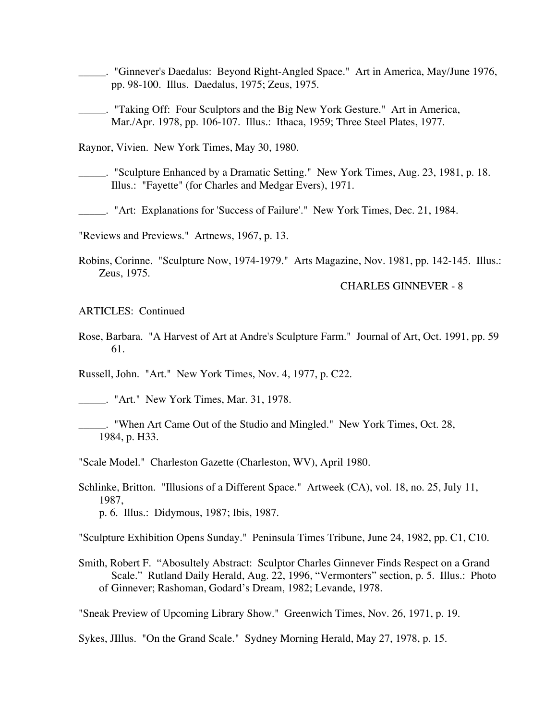- \_\_\_\_\_. "Ginnever's Daedalus: Beyond Right-Angled Space." Art in America, May/June 1976, pp. 98-100. Illus. Daedalus, 1975; Zeus, 1975.
- \_\_\_\_\_. "Taking Off: Four Sculptors and the Big New York Gesture." Art in America, Mar./Apr. 1978, pp. 106-107. Illus.: Ithaca, 1959; Three Steel Plates, 1977.

Raynor, Vivien. New York Times, May 30, 1980.

- \_\_\_\_\_. "Sculpture Enhanced by a Dramatic Setting." New York Times, Aug. 23, 1981, p. 18. Illus.: "Fayette" (for Charles and Medgar Evers), 1971.
- \_\_\_\_\_. "Art: Explanations for 'Success of Failure'." New York Times, Dec. 21, 1984.

"Reviews and Previews." Artnews, 1967, p. 13.

Robins, Corinne. "Sculpture Now, 1974-1979." Arts Magazine, Nov. 1981, pp. 142-145. Illus.: Zeus, 1975.

CHARLES GINNEVER - 8

ARTICLES: Continued

Rose, Barbara. "A Harvest of Art at Andre's Sculpture Farm." Journal of Art, Oct. 1991, pp. 59 61.

Russell, John. "Art." New York Times, Nov. 4, 1977, p. C22.

\_\_\_\_\_. "Art." New York Times, Mar. 31, 1978.

\_\_\_\_\_. "When Art Came Out of the Studio and Mingled." New York Times, Oct. 28, 1984, p. H33.

"Scale Model." Charleston Gazette (Charleston, WV), April 1980.

Schlinke, Britton. "Illusions of a Different Space." Artweek (CA), vol. 18, no. 25, July 11, 1987, p. 6. Illus.: Didymous, 1987; Ibis, 1987.

"Sculpture Exhibition Opens Sunday." Peninsula Times Tribune, June 24, 1982, pp. C1, C10.

Smith, Robert F. "Abosultely Abstract: Sculptor Charles Ginnever Finds Respect on a Grand Scale." Rutland Daily Herald, Aug. 22, 1996, "Vermonters" section, p. 5. Illus.: Photo of Ginnever; Rashoman, Godard's Dream, 1982; Levande, 1978.

"Sneak Preview of Upcoming Library Show." Greenwich Times, Nov. 26, 1971, p. 19.

Sykes, JIllus. "On the Grand Scale." Sydney Morning Herald, May 27, 1978, p. 15.